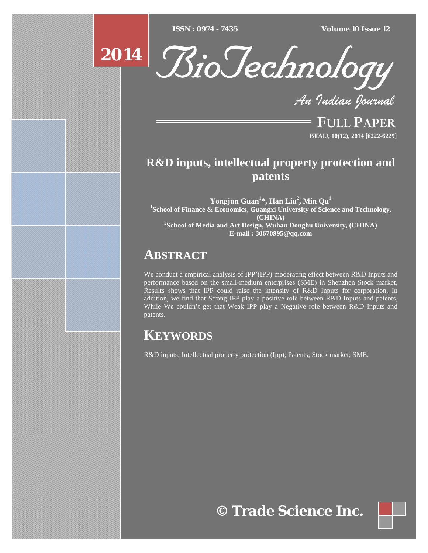$ISSN : 0974 - 7435$ 

*ISSN : 0974 - 7435 Volume 10 Issue 12*



*An Indian Journal*

FULL PAPER **BTAIJ, 10(12), 2014 [6222-6229]**

## **R&D inputs, intellectual property protection and patents**

**Yongjun Guan<sup>1</sup> \*, Han Liu<sup>2</sup> , Min Qu<sup>1</sup>** <sup>1</sup>School of Finance & Economics, Guangxi University of Science and Technology, **(CHINA) 2 School of Media and Art Design, Wuhan Donghu University, (CHINA) E-mail : 30670995@qq.com**

## **ABSTRACT**

We conduct a empirical analysis of IPP'(IPP) moderating effect between R&D Inputs and performance based on the small-medium enterprises  $(SME)$  in Shenzhen Stock market, Results shows that IPP could raise the intensity of R&D Inputs for corporation, In addition, we find that Strong IPP play a positive role between R&D Inputs and patents, While We couldn't get that Weak IPP play a Negative role between R&D Inputs and patents.

# **KEYWORDS**

R&D inputs; Intellectual property protection (Ipp); Patents; Stock market; SME.

**© Trade Science Inc.**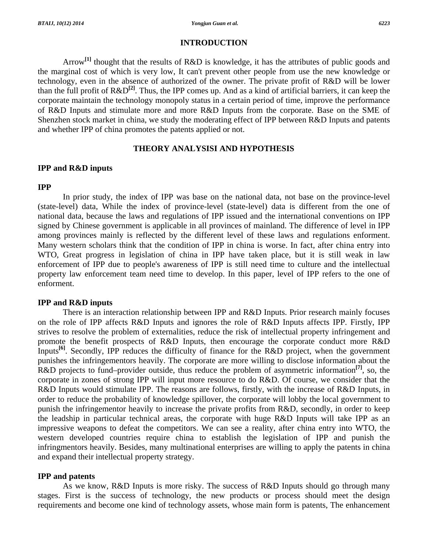#### **INTRODUCTION**

 Arrow**[1]** thought that the results of R&D is knowledge, it has the attributes of public goods and the marginal cost of which is very low, It can't prevent other people from use the new knowledge or technology, even in the absence of authorized of the owner. The private profit of R&D will be lower than the full profit of R&D**[2]**. Thus, the IPP comes up. And as a kind of artificial barriers, it can keep the corporate maintain the technology monopoly status in a certain period of time, improve the performance of R&D Inputs and stimulate more and more R&D Inputs from the corporate. Base on the SME of Shenzhen stock market in china, we study the moderating effect of IPP between R&D Inputs and patents and whether IPP of china promotes the patents applied or not.

#### **THEORY ANALYSISI AND HYPOTHESIS**

#### **IPP and R&D inputs**

#### **IPP**

 In prior study, the index of IPP was base on the national data, not base on the province-level (state-level) data, While the index of province-level (state-level) data is different from the one of national data, because the laws and regulations of IPP issued and the international conventions on IPP signed by Chinese government is applicable in all provinces of mainland. The difference of level in IPP among provinces mainly is reflected by the different level of these laws and regulations enforment. Many western scholars think that the condition of IPP in china is worse. In fact, after china entry into WTO, Great progress in legislation of china in IPP have taken place, but it is still weak in law enforcement of IPP due to people's awareness of IPP is still need time to culture and the intellectual property law enforcement team need time to develop. In this paper, level of IPP refers to the one of enforment.

## **IPP and R&D inputs**

There is an interaction relationship between IPP and R&D Inputs. Prior research mainly focuses on the role of IPP affects R&D Inputs and ignores the role of R&D Inputs affects IPP. Firstly, IPP strives to resolve the problem of externalities, reduce the risk of intellectual property infringement and promote the benefit prospects of R&D Inputs, then encourage the corporate conduct more R&D Inputs<sup>[6]</sup>. Secondly, IPP reduces the difficulty of finance for the R&D project, when the government punishes the infringementors heavily. The corporate are more willing to disclose information about the R&D projects to fund–provider outside, thus reduce the problem of asymmetric information**[7]**, so, the corporate in zones of strong IPP will input more resource to do R&D. Of course, we consider that the R&D Inputs would stimulate IPP. The reasons are follows, firstly, with the increase of R&D Inputs, in order to reduce the probability of knowledge spillover, the corporate will lobby the local government to punish the infringementor heavily to increase the private profits from R&D, secondly, in order to keep the leadship in particular technical areas, the corporate with huge R&D Inputs will take IPP as an impressive weapons to defeat the competitors. We can see a reality, after china entry into WTO, the western developed countries require china to establish the legislation of IPP and punish the infringmentors heavily. Besides, many multinational enterprises are willing to apply the patents in china and expand their intellectual property strategy.

## **IPP and patents**

 As we know, R&D Inputs is more risky. The success of R&D Inputs should go through many stages. First is the success of technology, the new products or process should meet the design requirements and become one kind of technology assets, whose main form is patents, The enhancement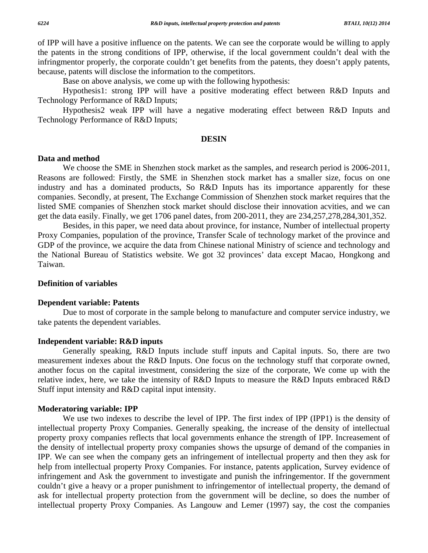of IPP will have a positive influence on the patents. We can see the corporate would be willing to apply the patents in the strong conditions of IPP, otherwise, if the local government couldn't deal with the infringmentor properly, the corporate couldn't get benefits from the patents, they doesn't apply patents, because, patents will disclose the information to the competitors.

Base on above analysis, we come up with the following hypothesis:

 Hypothesis1: strong IPP will have a positive moderating effect between R&D Inputs and Technology Performance of R&D Inputs;

 Hypothesis2 weak IPP will have a negative moderating effect between R&D Inputs and Technology Performance of R&D Inputs;

#### **DESIN**

#### **Data and method**

 We choose the SME in Shenzhen stock market as the samples, and research period is 2006-2011, Reasons are followed: Firstly, the SME in Shenzhen stock market has a smaller size, focus on one industry and has a dominated products, So R&D Inputs has its importance apparently for these companies. Secondly, at present, The Exchange Commission of Shenzhen stock market requires that the listed SME companies of Shenzhen stock market should disclose their innovation acvities, and we can get the data easily. Finally, we get 1706 panel dates, from 200-2011, they are 234,257,278,284,301,352.

 Besides, in this paper, we need data about province, for instance, Number of intellectual property Proxy Companies, population of the province, Transfer Scale of technology market of the province and GDP of the province, we acquire the data from Chinese national Ministry of science and technology and the National Bureau of Statistics website. We got 32 provinces' data except Macao, Hongkong and Taiwan.

## **Definition of variables**

#### **Dependent variable: Patents**

 Due to most of corporate in the sample belong to manufacture and computer service industry, we take patents the dependent variables.

#### **Independent variable: R&D inputs**

 Generally speaking, R&D Inputs include stuff inputs and Capital inputs. So, there are two measurement indexes about the R&D Inputs. One focus on the technology stuff that corporate owned, another focus on the capital investment, considering the size of the corporate, We come up with the relative index, here, we take the intensity of R&D Inputs to measure the R&D Inputs embraced R&D Stuff input intensity and R&D capital input intensity.

## **Moderatoring variable: IPP**

 We use two indexes to describe the level of IPP. The first index of IPP (IPP1) is the density of intellectual property Proxy Companies. Generally speaking, the increase of the density of intellectual property proxy companies reflects that local governments enhance the strength of IPP. Increasement of the density of intellectual property proxy companies shows the upsurge of demand of the companies in IPP. We can see when the company gets an infringement of intellectual property and then they ask for help from intellectual property Proxy Companies. For instance, patents application, Survey evidence of infringement and Ask the government to investigate and punish the infringementor. If the government couldn't give a heavy or a proper punishment to infringementor of intellectual property, the demand of ask for intellectual property protection from the government will be decline, so does the number of intellectual property Proxy Companies. As Langouw and Lemer (1997) say, the cost the companies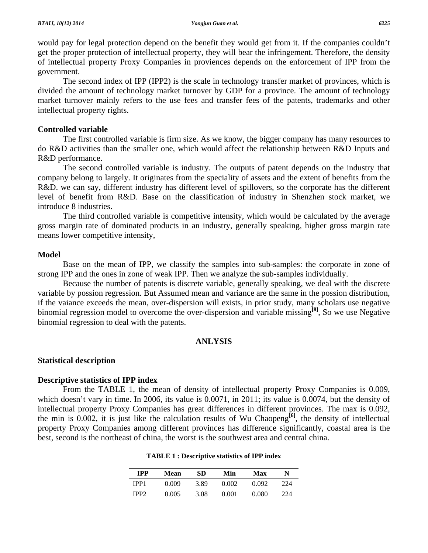would pay for legal protection depend on the benefit they would get from it. If the companies couldn't get the proper protection of intellectual property, they will bear the infringement. Therefore, the density of intellectual property Proxy Companies in proviences depends on the enforcement of IPP from the government.

 The second index of IPP (IPP2) is the scale in technology transfer market of provinces, which is divided the amount of technology market turnover by GDP for a province. The amount of technology market turnover mainly refers to the use fees and transfer fees of the patents, trademarks and other intellectual property rights.

## **Controlled variable**

 The first controlled variable is firm size. As we know, the bigger company has many resources to do R&D activities than the smaller one, which would affect the relationship between R&D Inputs and R&D performance.

 The second controlled variable is industry. The outputs of patent depends on the industry that company belong to largely. It originates from the speciality of assets and the extent of benefits from the R&D. we can say, different industry has different level of spillovers, so the corporate has the different level of benefit from R&D. Base on the classification of industry in Shenzhen stock market, we introduce 8 industries.

 The third controlled variable is competitive intensity, which would be calculated by the average gross margin rate of dominated products in an industry, generally speaking, higher gross margin rate means lower competitive intensity,

## **Model**

 Base on the mean of IPP, we classify the samples into sub-samples: the corporate in zone of strong IPP and the ones in zone of weak IPP. Then we analyze the sub-samples individually.

 Because the number of patents is discrete variable, generally speaking, we deal with the discrete variable by possion regression. But Assumed mean and variance are the same in the possion distribution, if the vaiance exceeds the mean, over-dispersion will exists, in prior study, many scholars use negative binomial regression model to overcome the over-dispersion and variable missing**[8]**, So we use Negative binomial regression to deal with the patents.

## **ANLYSIS**

## **Statistical description**

#### **Descriptive statistics of IPP index**

 From the TABLE 1, the mean of density of intellectual property Proxy Companies is 0.009, which doesn't vary in time. In 2006, its value is 0.0071, in 2011; its value is 0.0074, but the density of intellectual property Proxy Companies has great differences in different provinces. The max is 0.092, the min is 0.002, it is just like the calculation results of Wu Chaopeng**[6]**, the density of intellectual property Proxy Companies among different provinces has difference significantly, coastal area is the best, second is the northeast of china, the worst is the southwest area and central china.

| <b>TPP</b>  | Mean  | SD   | Min   | Max   | N   |
|-------------|-------|------|-------|-------|-----|
| IPP1        | 0.009 | 3.89 | 0.002 | 0.092 | 224 |
| <b>IPP?</b> | 0.005 | 3.08 | 0.001 | 0.080 | 224 |

#### **TABLE 1 : Descriptive statistics of IPP index**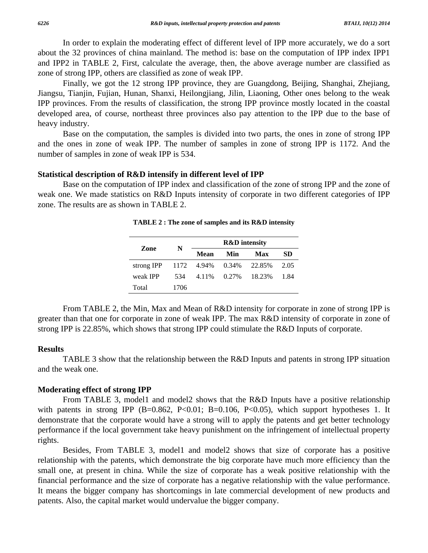In order to explain the moderating effect of different level of IPP more accurately, we do a sort about the 32 provinces of china mainland. The method is: base on the computation of IPP index IPP1 and IPP2 in TABLE 2, First, calculate the average, then, the above average number are classified as zone of strong IPP, others are classified as zone of weak IPP.

 Finally, we got the 12 strong IPP province, they are Guangdong, Beijing, Shanghai, Zhejiang, Jiangsu, Tianjin, Fujian, Hunan, Shanxi, Heilongjiang, Jilin, Liaoning, Other ones belong to the weak IPP provinces. From the results of classification, the strong IPP province mostly located in the coastal developed area, of course, northeast three provinces also pay attention to the IPP due to the base of heavy industry.

 Base on the computation, the samples is divided into two parts, the ones in zone of strong IPP and the ones in zone of weak IPP. The number of samples in zone of strong IPP is 1172. And the number of samples in zone of weak IPP is 534.

#### **Statistical description of R&D intensify in different level of IPP**

 Base on the computation of IPP index and classification of the zone of strong IPP and the zone of weak one. We made statistics on R&D Inputs intensity of corporate in two different categories of IPP zone. The results are as shown in TABLE 2.

| Zone                                 |      | <b>R&amp;D</b> intensity |             |        |           |
|--------------------------------------|------|--------------------------|-------------|--------|-----------|
|                                      | N    | Mean                     | Min         | Max    | <b>SD</b> |
| strong IPP $1172$ 4.94% 0.34% 22.85% |      |                          |             |        | 2.05      |
| weak IPP                             | 534  |                          | 4.11% 0.27% | 18.23% | 1.84      |
| Total                                | 1706 |                          |             |        |           |

**TABLE 2 : The zone of samples and its R&D intensity** 

 From TABLE 2, the Min, Max and Mean of R&D intensity for corporate in zone of strong IPP is greater than that one for corporate in zone of weak IPP. The max R&D intensity of corporate in zone of strong IPP is 22.85%, which shows that strong IPP could stimulate the R&D Inputs of corporate.

#### **Results**

 TABLE 3 show that the relationship between the R&D Inputs and patents in strong IPP situation and the weak one.

## **Moderating effect of strong IPP**

From TABLE 3, model1 and model2 shows that the R&D Inputs have a positive relationship with patents in strong IPP  $(B=0.862, P<0.01; B=0.106, P<0.05)$ , which support hypotheses 1. It demonstrate that the corporate would have a strong will to apply the patents and get better technology performance if the local government take heavy punishment on the infringement of intellectual property rights.

 Besides, From TABLE 3, model1 and model2 shows that size of corporate has a positive relationship with the patents, which demonstrate the big corporate have much more efficiency than the small one, at present in china. While the size of corporate has a weak positive relationship with the financial performance and the size of corporate has a negative relationship with the value performance. It means the bigger company has shortcomings in late commercial development of new products and patents. Also, the capital market would undervalue the bigger company.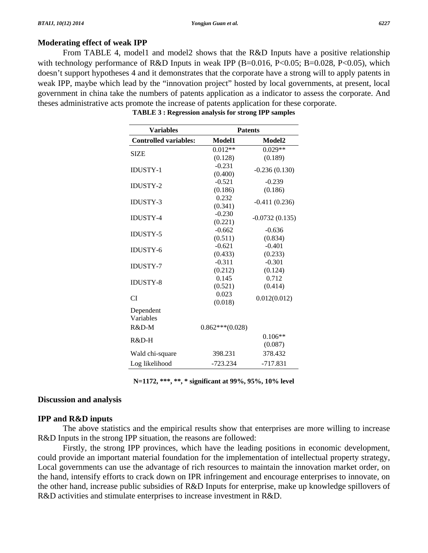## **Moderating effect of weak IPP**

From TABLE 4, model1 and model2 shows that the R&D Inputs have a positive relationship with technology performance of R&D Inputs in weak IPP (B=0.016, P<0.05; B=0.028, P<0.05), which doesn't support hypotheses 4 and it demonstrates that the corporate have a strong will to apply patents in weak IPP, maybe which lead by the "innovation project" hosted by local governments, at present, local government in china take the numbers of patents application as a indicator to assess the corporate. And theses administrative acts promote the increase of patents application for these corporate.

| <b>Variables</b>             | <b>Patents</b>    |                  |  |
|------------------------------|-------------------|------------------|--|
| <b>Controlled variables:</b> | Model1            | Model2           |  |
| <b>SIZE</b>                  | $0.012**$         | $0.029**$        |  |
|                              | (0.128)           | (0.189)          |  |
| <b>IDUSTY-1</b>              | $-0.231$          | $-0.236(0.130)$  |  |
|                              | (0.400)           |                  |  |
| <b>IDUSTY-2</b>              | $-0.521$          | $-0.239$         |  |
|                              | (0.186)           | (0.186)          |  |
| <b>IDUSTY-3</b>              | 0.232             | $-0.411(0.236)$  |  |
|                              | (0.341)           |                  |  |
| <b>IDUSTY-4</b>              | $-0.230$          | $-0.0732(0.135)$ |  |
|                              | (0.221)           |                  |  |
| <b>IDUSTY-5</b>              | $-0.662$          | $-0.636$         |  |
|                              | (0.511)           | (0.834)          |  |
| <b>IDUSTY-6</b>              | $-0.621$          | $-0.401$         |  |
|                              | (0.433)           | (0.233)          |  |
| <b>IDUSTY-7</b>              | $-0.311$          | $-0.301$         |  |
|                              | (0.212)           | (0.124)          |  |
| <b>IDUSTY-8</b>              | 0.145             | 0.712            |  |
|                              | (0.521)           | (0.414)          |  |
| <b>CI</b>                    | 0.023             | 0.012(0.012)     |  |
|                              | (0.018)           |                  |  |
| Dependent                    |                   |                  |  |
| Variables                    |                   |                  |  |
| R&D-M                        | $0.862***(0.028)$ |                  |  |
| R&D-H                        |                   | $0.106**$        |  |
|                              |                   | (0.087)          |  |
| Wald chi-square              | 398.231           | 378.432          |  |
| Log likelihood               | $-723.234$        | $-717.831$       |  |

| TABLE 3 : Regression analysis for strong IPP samples |  |  |  |
|------------------------------------------------------|--|--|--|
|------------------------------------------------------|--|--|--|

**N=1172, \*\*\*, \*\*, \* significant at 99%, 95%, 10% level** 

## **Discussion and analysis**

#### **IPP and R&D inputs**

 The above statistics and the empirical results show that enterprises are more willing to increase R&D Inputs in the strong IPP situation, the reasons are followed:

 Firstly, the strong IPP provinces, which have the leading positions in economic development, could provide an important material foundation for the implementation of intellectual property strategy, Local governments can use the advantage of rich resources to maintain the innovation market order, on the hand, intensify efforts to crack down on IPR infringement and encourage enterprises to innovate, on the other hand, increase public subsidies of R&D Inputs for enterprise, make up knowledge spillovers of R&D activities and stimulate enterprises to increase investment in R&D.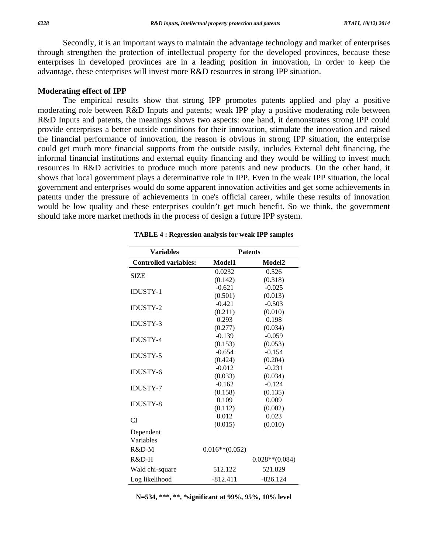Secondly, it is an important ways to maintain the advantage technology and market of enterprises through strengthen the protection of intellectual property for the developed provinces, because these enterprises in developed provinces are in a leading position in innovation, in order to keep the advantage, these enterprises will invest more R&D resources in strong IPP situation.

#### **Moderating effect of IPP**

 The empirical results show that strong IPP promotes patents applied and play a positive moderating role between R&D Inputs and patents; weak IPP play a positive moderating role between R&D Inputs and patents, the meanings shows two aspects: one hand, it demonstrates strong IPP could provide enterprises a better outside conditions for their innovation, stimulate the innovation and raised the financial performance of innovation, the reason is obvious in strong IPP situation, the enterprise could get much more financial supports from the outside easily, includes External debt financing, the informal financial institutions and external equity financing and they would be willing to invest much resources in R&D activities to produce much more patents and new products. On the other hand, it shows that local government plays a determinative role in IPP. Even in the weak IPP situation, the local government and enterprises would do some apparent innovation activities and get some achievements in patents under the pressure of achievements in one's official career, while these results of innovation would be low quality and these enterprises couldn't get much benefit. So we think, the government should take more market methods in the process of design a future IPP system.

| <b>Variables</b>             | <b>Patents</b>    |                   |  |  |
|------------------------------|-------------------|-------------------|--|--|
| <b>Controlled variables:</b> | Model1            | Model2            |  |  |
|                              | 0.0232            | 0.526             |  |  |
| <b>SIZE</b>                  | (0.142)           | (0.318)           |  |  |
| <b>IDUSTY-1</b>              | $-0.621$          | $-0.025$          |  |  |
|                              | (0.501)           | (0.013)           |  |  |
| <b>IDUSTY-2</b>              | $-0.421$          | $-0.503$          |  |  |
|                              | (0.211)           | (0.010)           |  |  |
| <b>IDUSTY-3</b>              | 0.293             | 0.198             |  |  |
|                              | (0.277)           | (0.034)           |  |  |
| <b>IDUSTY-4</b>              | $-0.139$          | $-0.059$          |  |  |
|                              | (0.153)           | (0.053)           |  |  |
| <b>IDUSTY-5</b>              | $-0.654$          | $-0.154$          |  |  |
|                              | (0.424)           | (0.204)           |  |  |
| <b>IDUSTY-6</b>              | $-0.012$          | $-0.231$          |  |  |
|                              | (0.033)           | (0.034)           |  |  |
| <b>IDUSTY-7</b>              | $-0.162$          | $-0.124$          |  |  |
|                              | (0.158)           | (0.135)           |  |  |
| <b>IDUSTY-8</b>              | 0.109             | 0.009             |  |  |
|                              | (0.112)           | (0.002)           |  |  |
| CI                           | 0.012             | 0.023             |  |  |
|                              | (0.015)           | (0.010)           |  |  |
| Dependent                    |                   |                   |  |  |
| Variables                    |                   |                   |  |  |
| $R&D-M$                      | $0.016**$ (0.052) |                   |  |  |
| $R&D-H$                      |                   | $0.028**$ (0.084) |  |  |
| Wald chi-square              | 512.122           | 521.829           |  |  |
| Log likelihood               | $-812.411$        | $-826.124$        |  |  |

**TABLE 4 : Regression analysis for weak IPP samples** 

**N=534, \*\*\*, \*\*, \*significant at 99%, 95%, 10% level**